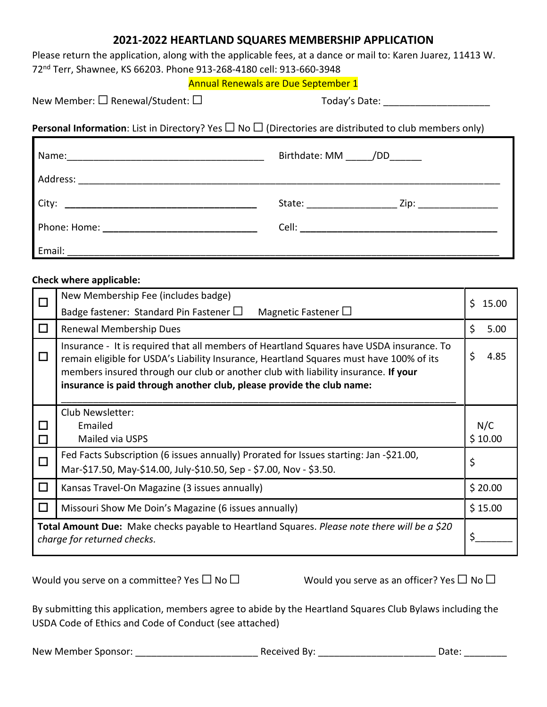#### **2021-2022 HEARTLAND SQUARES MEMBERSHIP APPLICATION**

Please return the application, along with the applicable fees, at a dance or mail to: Karen Juarez, 11413 W. 72nd Terr, Shawnee, KS 66203. Phone 913-268-4180 cell: 913-660-3948

#### Annual Renewals are Due September 1

New Member: □ Renewal/Student: □ <br>Today's Date:

**Personal Information**: List in Directory? Yes □ No □ (Directories are distributed to club members only)

|                                                                                        | Birthdate: MM /DD _______ |
|----------------------------------------------------------------------------------------|---------------------------|
| Address:                                                                               |                           |
|                                                                                        | State: Zip: Zip:          |
|                                                                                        |                           |
| Email:<br><u> 1980 - Jan Barbara, martin da kasar Amerikaan dan Barbara (j. 1980).</u> |                           |

#### **Check where applicable:**

Г

| $\Box$                                                                                                                             | New Membership Fee (includes badge)                                                                                                                                                                                                                                                                                                                |                |  |
|------------------------------------------------------------------------------------------------------------------------------------|----------------------------------------------------------------------------------------------------------------------------------------------------------------------------------------------------------------------------------------------------------------------------------------------------------------------------------------------------|----------------|--|
|                                                                                                                                    | Badge fastener: Standard Pin Fastener $\Box$<br>Magnetic Fastener $\Box$                                                                                                                                                                                                                                                                           | Ś.<br>15.00    |  |
| $\Box$                                                                                                                             | Renewal Membership Dues                                                                                                                                                                                                                                                                                                                            | \$<br>5.00     |  |
| $\Box$                                                                                                                             | Insurance - It is required that all members of Heartland Squares have USDA insurance. To<br>remain eligible for USDA's Liability Insurance, Heartland Squares must have 100% of its<br>members insured through our club or another club with liability insurance. If your<br>insurance is paid through another club, please provide the club name: | \$<br>4.85     |  |
|                                                                                                                                    | Club Newsletter:                                                                                                                                                                                                                                                                                                                                   |                |  |
| □                                                                                                                                  | Emailed<br>Mailed via USPS                                                                                                                                                                                                                                                                                                                         | N/C<br>\$10.00 |  |
| $\Box$                                                                                                                             |                                                                                                                                                                                                                                                                                                                                                    |                |  |
| □                                                                                                                                  | Fed Facts Subscription (6 issues annually) Prorated for Issues starting: Jan -\$21.00,                                                                                                                                                                                                                                                             | \$             |  |
|                                                                                                                                    | Mar-\$17.50, May-\$14.00, July-\$10.50, Sep - \$7.00, Nov - \$3.50.                                                                                                                                                                                                                                                                                |                |  |
| $\Box$                                                                                                                             | Kansas Travel-On Magazine (3 issues annually)                                                                                                                                                                                                                                                                                                      | \$20.00        |  |
| □                                                                                                                                  | Missouri Show Me Doin's Magazine (6 issues annually)                                                                                                                                                                                                                                                                                               | \$15.00        |  |
| <b>Total Amount Due:</b> Make checks payable to Heartland Squares. Please note there will be a \$20<br>charge for returned checks. |                                                                                                                                                                                                                                                                                                                                                    | \$             |  |

Would you serve on a committee? Yes  $\Box$  No  $\Box$  Would you serve as an officer? Yes  $\Box$  No  $\Box$ 

By submitting this application, members agree to abide by the Heartland Squares Club Bylaws including the USDA Code of Ethics and Code of Conduct (see attached)

New Member Sponsor: \_\_\_\_\_\_\_\_\_\_\_\_\_\_\_\_\_\_\_\_\_\_\_ Received By: \_\_\_\_\_\_\_\_\_\_\_\_\_\_\_\_\_\_\_\_\_\_ Date: \_\_\_\_\_\_\_\_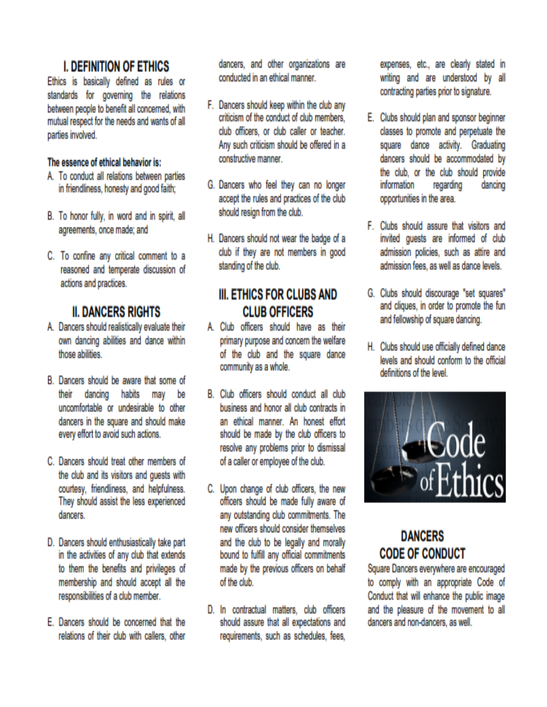## **I. DEFINITION OF ETHICS**

Ethics is basically defined as rules or standards for governing the relations between people to benefit all concerned, with mutual respect for the needs and wants of all parties involved.

#### The essence of ethical behavior is:

- A. To conduct all relations between parties in friendliness, honesty and good faith;
- B. To honor fully, in word and in spirit, all agreements, once made; and
- C. To confine any critical comment to a reasoned and temperate discussion of actions and practices.

## **II. DANCERS RIGHTS**

- A. Dancers should realistically evaluate their own dancing abilities and dance within those abilities
- B. Dancers should be aware that some of dancing habits may be their uncomfortable or undesirable to other dancers in the square and should make every effort to avoid such actions.
- C. Dancers should treat other members of the club and its visitors and quests with courtesy, friendliness, and helpfulness, They should assist the less experienced dancers.
- D. Dancers should enthusiastically take part in the activities of any club that extends to them the benefits and privileges of membership and should accept all the responsibilities of a club member.
- E. Dancers should be concerned that the relations of their club with callers, other

dancers, and other organizations are conducted in an ethical manner.

- F. Dancers should keep within the club any criticism of the conduct of club members. club officers, or club caller or teacher. Any such criticism should be offered in a constructive manner.
- G. Dancers who feel they can no longer accept the rules and practices of the club should resign from the club.
- H. Dancers should not wear the badge of a club if they are not members in good standing of the club.

### **III. ETHICS FOR CLUBS AND CLUB OFFICERS**

- A. Club officers should have as their primary purpose and concern the welfare of the club and the square dance community as a whole.
- B. Club officers should conduct all club business and honor all club contracts in an ethical manner. An honest effort should be made by the club officers to resolve any problems prior to dismissal of a caller or employee of the club.
- C. Upon change of club officers, the new officers should be made fully aware of any outstanding club commitments. The new officers should consider themselves and the club to be legally and morally bound to fulfill any official commitments made by the previous officers on behalf of the club
- D. In contractual matters, club officers should assure that all expectations and requirements, such as schedules, fees,

expenses, etc., are clearly stated in writing and are understood by all contracting parties prior to signature.

- E. Clubs should plan and sponsor beginner classes to promote and perpetuate the square dance activity. Graduating dancers should be accommodated by the club, or the club should provide information regarding dancing opportunities in the area.
- F. Clubs should assure that visitors and invited guests are informed of club admission policies, such as attire and admission fees, as well as dance levels.
- G. Clubs should discourage "set squares" and cliques, in order to promote the fun and fellowship of square dancing.
- H. Clubs should use officially defined dance levels and should conform to the official definitions of the level.



# **DANCERS CODE OF CONDUCT**

Square Dancers everywhere are encouraged to comply with an appropriate Code of Conduct that will enhance the public image and the pleasure of the movement to all dancers and non-dancers, as well.